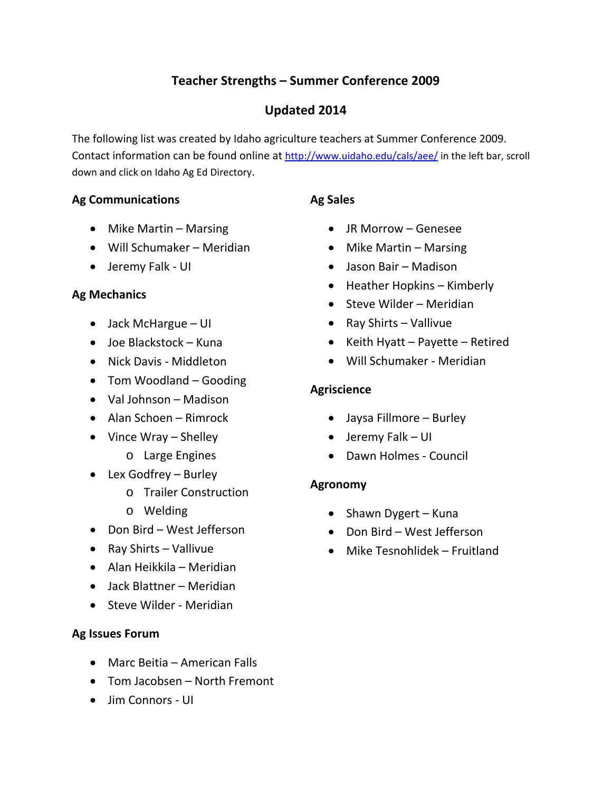# **Teacher Strengths – Summer Conference 2009**

# **Updated 2014**

The following list was created by Idaho agriculture teachers at Summer Conference 2009. Contact information can be found online at http://www.uidaho.edu/cals/aee/ in the left bar, scroll down and click on Idaho Ag Ed Directory.

# **Ag Communications**

# **Ag Sales**

- Mike Martin Marsing
- Will Schumaker Meridian
- Jeremy Falk UI

# **Ag Mechanics**

- Jack McHargue UI
- Joe Blackstock Kuna
- Nick Davis Middleton
- Tom Woodland Gooding
- Val Johnson Madison
- Alan Schoen Rimrock
- Vince Wray Shelley
	- o Large Engines
- Lex Godfrey Burley
	- o Trailer Construction
	- o Welding
- Don Bird West Jefferson
- Ray Shirts Vallivue
- Alan Heikkila Meridian
- Jack Blattner Meridian
- Steve Wilder Meridian

# **Ag Issues Forum**

- Marc Beitia American Falls
- Tom Jacobsen North Fremont
- Jim Connors UI
- JR Morrow Genesee
- $\bullet$  Mike Martin Marsing
- Jason Bair Madison
- Heather Hopkins Kimberly
- Steve Wilder Meridian
- Ray Shirts Vallivue
- $\bullet$  Keith Hyatt Payette Retired
- Will Schumaker Meridian

# **Agriscience**

- Jaysa Fillmore Burley
- Jeremy Falk UI
- Dawn Holmes Council

# **Agronomy**

- Shawn Dygert Kuna
- Don Bird West Jefferson
- Mike Tesnohlidek Fruitland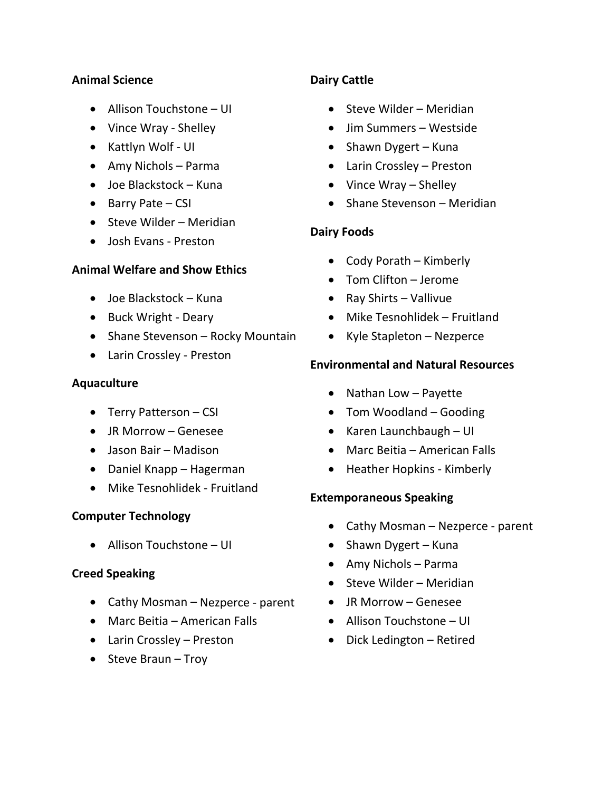#### **Animal Science**

- Allison Touchstone UI
- Vince Wray Shelley
- Kattlyn Wolf UI
- Amy Nichols Parma
- Joe Blackstock Kuna
- $\bullet$  Barry Pate CSI
- $\bullet$  Steve Wilder Meridian
- Josh Evans Preston

#### **Animal Welfare and Show Ethics**

- Joe Blackstock Kuna
- Buck Wright Deary
- Shane Stevenson Rocky Mountain
- Larin Crossley Preston

#### **Aquaculture**

- Terry Patterson CSI
- JR Morrow Genesee
- Jason Bair Madison
- Daniel Knapp Hagerman
- Mike Tesnohlidek Fruitland

#### **Computer Technology**

Allison Touchstone – UI

#### **Creed Speaking**

- Cathy Mosman Nezperce parent
- Marc Beitia American Falls
- Larin Crossley Preston
- $\bullet$  Steve Braun Troy

#### **Dairy Cattle**

- Steve Wilder Meridian
- Jim Summers Westside
- Shawn Dygert Kuna
- Larin Crossley Preston
- Vince Wray Shelley
- Shane Stevenson Meridian

### **Dairy Foods**

- Cody Porath Kimberly
- Tom Clifton Jerome
- Ray Shirts Vallivue
- Mike Tesnohlidek Fruitland
- Kyle Stapleton Nezperce

#### **Environmental and Natural Resources**

- Nathan Low Payette
- Tom Woodland Gooding
- $\bullet$  Karen Launchbaugh UI
- Marc Beitia American Falls
- Heather Hopkins Kimberly

#### **Extemporaneous Speaking**

- Cathy Mosman Nezperce parent
- Shawn Dygert Kuna
- Amy Nichols Parma
- Steve Wilder Meridian
- JR Morrow Genesee
- Allison Touchstone UI
- Dick Ledington Retired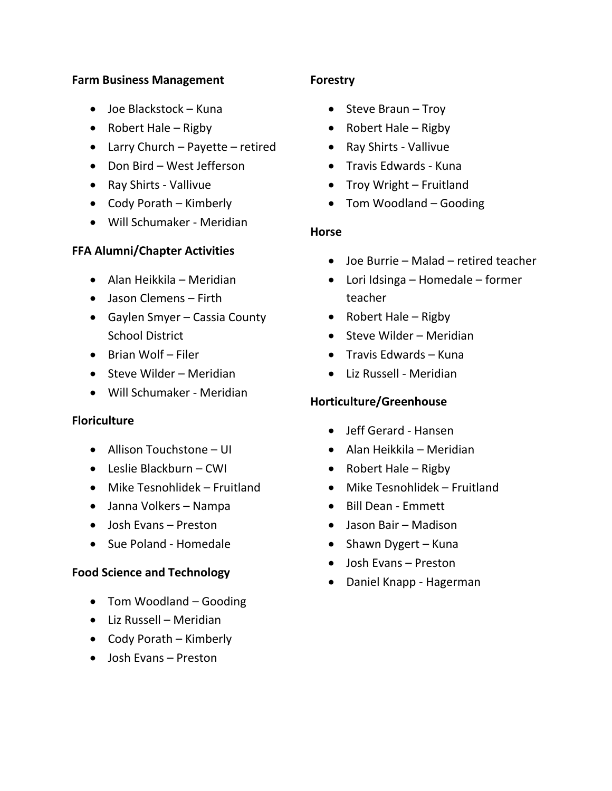#### **Farm Business Management**

- Joe Blackstock Kuna
- Robert Hale Rigby
- Larry Church Payette retired
- Don Bird West Jefferson
- Ray Shirts Vallivue
- Cody Porath Kimberly
- Will Schumaker ‐ Meridian

### **FFA Alumni/Chapter Activities**

- Alan Heikkila Meridian
- Jason Clemens Firth
- Gaylen Smyer Cassia County School District
- $\bullet$  Brian Wolf Filer
- Steve Wilder Meridian
- Will Schumaker ‐ Meridian

#### **Floriculture**

- Allison Touchstone UI
- Leslie Blackburn CWI
- Mike Tesnohlidek Fruitland
- Janna Volkers Nampa
- Josh Evans Preston
- Sue Poland Homedale

#### **Food Science and Technology**

- Tom Woodland Gooding
- Liz Russell Meridian
- Cody Porath Kimberly
- Josh Evans Preston

#### **Forestry**

- $\bullet$  Steve Braun Troy
- Robert Hale Rigby
- Ray Shirts Vallivue
- Travis Edwards Kuna
- $\bullet$  Troy Wright Fruitland
- Tom Woodland Gooding

#### **Horse**

- Joe Burrie Malad retired teacher
- Lori Idsinga Homedale former teacher
- Robert Hale Rigby
- Steve Wilder Meridian
- Travis Edwards Kuna
- Liz Russell Meridian

#### **Horticulture/Greenhouse**

- Jeff Gerard ‐ Hansen
- Alan Heikkila Meridian
- Robert Hale Rigby
- Mike Tesnohlidek Fruitland
- Bill Dean Emmett
- Jason Bair Madison
- Shawn Dygert Kuna
- Josh Evans Preston
- Daniel Knapp Hagerman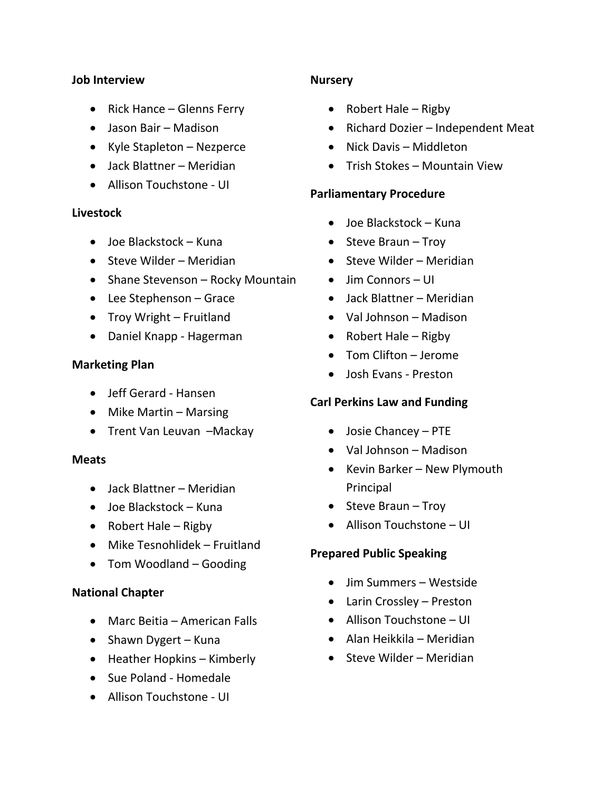#### **Job Interview**

- Rick Hance Glenns Ferry
- Jason Bair Madison
- Kyle Stapleton Nezperce
- Jack Blattner Meridian
- Allison Touchstone UI

#### **Livestock**

- Joe Blackstock Kuna
- Steve Wilder Meridian
- Shane Stevenson Rocky Mountain
- Lee Stephenson Grace
- Troy Wright Fruitland
- Daniel Knapp Hagerman

#### **Marketing Plan**

- Jeff Gerard Hansen
- $\bullet$  Mike Martin Marsing
- Trent Van Leuvan -Mackay

#### **Meats**

- Jack Blattner Meridian
- Joe Blackstock Kuna
- Robert Hale Rigby
- Mike Tesnohlidek Fruitland
- Tom Woodland Gooding

#### **National Chapter**

- Marc Beitia American Falls
- Shawn Dygert Kuna
- Heather Hopkins Kimberly
- Sue Poland Homedale
- Allison Touchstone UI

### **Nursery**

- Robert Hale Rigby
- Richard Dozier Independent Meat
- Nick Davis Middleton
- Trish Stokes Mountain View

#### **Parliamentary Procedure**

- Joe Blackstock Kuna
- $\bullet$  Steve Braun Troy
- Steve Wilder Meridian
- Jim Connors UI
- Jack Blattner Meridian
- Val Johnson Madison
- Robert Hale Rigby
- Tom Clifton Jerome
- Josh Evans Preston

# **Carl Perkins Law and Funding**

- Josie Chancey PTE
- Val Johnson Madison
- Kevin Barker New Plymouth Principal
- $\bullet$  Steve Braun Troy
- Allison Touchstone UI

#### **Prepared Public Speaking**

- Jim Summers Westside
- Larin Crossley Preston
- Allison Touchstone UI
- Alan Heikkila Meridian
- Steve Wilder Meridian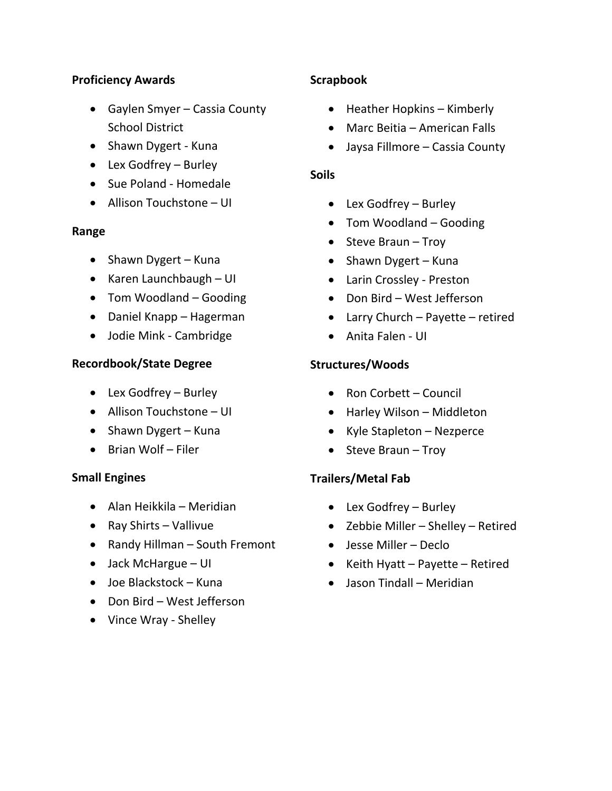#### **Proficiency Awards**

- Gaylen Smyer Cassia County School District
- Shawn Dygert Kuna
- Lex Godfrey Burley
- Sue Poland Homedale
- Allison Touchstone UI

### **Range**

- Shawn Dygert Kuna
- Karen Launchbaugh UI
- Tom Woodland Gooding
- Daniel Knapp Hagerman
- Jodie Mink Cambridge

# **Recordbook/State Degree**

- Lex Godfrey Burley
- Allison Touchstone UI
- Shawn Dygert Kuna
- Brian Wolf Filer

# **Small Engines**

- Alan Heikkila Meridian
- Ray Shirts Vallivue
- Randy Hillman South Fremont
- Jack McHargue UI
- Joe Blackstock Kuna
- Don Bird West Jefferson
- Vince Wray Shelley

# **Scrapbook**

- Heather Hopkins Kimberly
- Marc Beitia American Falls
- Jaysa Fillmore Cassia County

# **Soils**

- Lex Godfrey Burley
- Tom Woodland Gooding
- $\bullet$  Steve Braun Troy
- Shawn Dygert Kuna
- Larin Crossley ‐ Preston
- Don Bird West Jefferson
- Larry Church Payette retired
- Anita Falen UI

# **Structures/Woods**

- Ron Corbett Council
- Harley Wilson Middleton
- Kyle Stapleton Nezperce
- $\bullet$  Steve Braun Troy

# **Trailers/Metal Fab**

- Lex Godfrey Burley
- Zebbie Miller Shelley Retired
- Jesse Miller Declo
- Keith Hyatt Payette Retired
- Jason Tindall Meridian